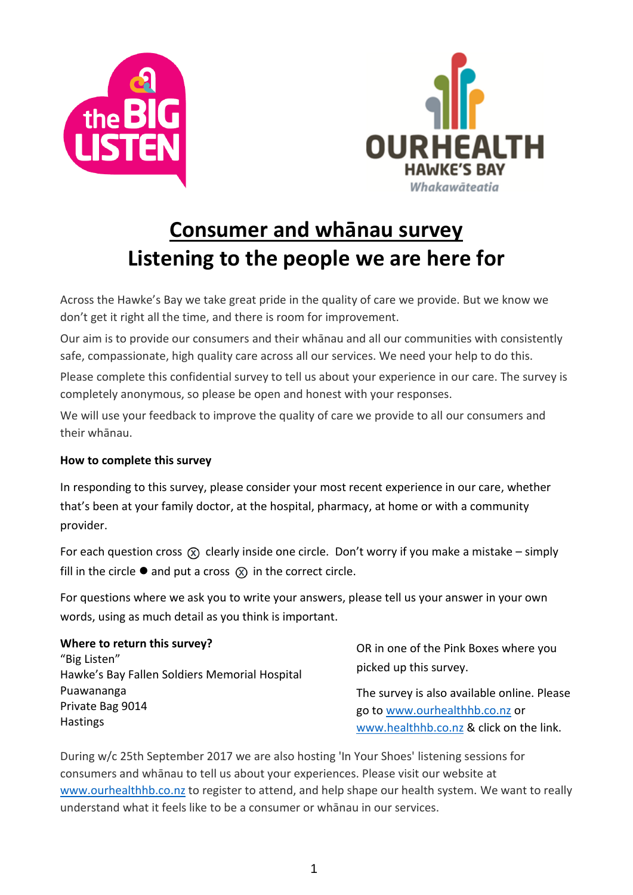



# **Consumer and whānau survey Listening to the people we are here for**

Across the Hawke's Bay we take great pride in the quality of care we provide. But we know we don't get it right all the time, and there is room for improvement.

Our aim is to provide our consumers and their whānau and all our communities with consistently safe, compassionate, high quality care across all our services. We need your help to do this.

Please complete this confidential survey to tell us about your experience in our care. The survey is completely anonymous, so please be open and honest with your responses.

We will use your feedback to improve the quality of care we provide to all our consumers and their whānau.

### **How to complete this survey**

In responding to this survey, please consider your most recent experience in our care, whether that's been at your family doctor, at the hospital, pharmacy, at home or with a community provider.

For each question cross  $(x)$  clearly inside one circle. Don't worry if you make a mistake – simply fill in the circle  $\bullet$  and put a cross  $\circledR$  in the correct circle.

For questions where we ask you to write your answers, please tell us your answer in your own words, using as much detail as you think is important.

| Where to return this survey?<br>"Big Listen"<br>Hawke's Bay Fallen Soldiers Memorial Hospital | OR in one of the Pink Boxes where you<br>picked up this survey. |
|-----------------------------------------------------------------------------------------------|-----------------------------------------------------------------|
| Puawananga                                                                                    | The survey is also available online. Please                     |
| Private Bag 9014                                                                              | go to www.ourhealthhb.co.nz or                                  |
| <b>Hastings</b>                                                                               | www.healthhb.co.nz & click on the link.                         |

During w/c 25th September 2017 we are also hosting 'In Your Shoes' listening sessions for consumers and whānau to tell us about your experiences. Please visit our website at [www.ourhealthhb.co.nz](http://www.outhealthhb.co.nz/) to register to attend, and help shape our health system. We want to really understand what it feels like to be a consumer or whānau in our services.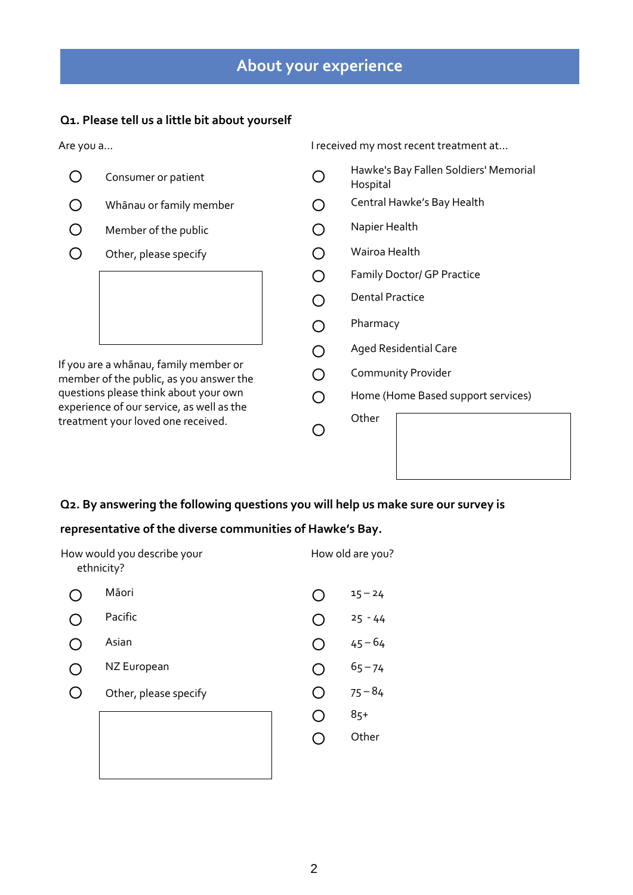# **About your experience**

### **Q1. Please tell us a little bit about yourself**

Are you a... I received my most recent treatment at...

| Consumer or patient                                                                                                      | Hawke's Bay Fallen Soldiers' Memorial<br>Hospital |
|--------------------------------------------------------------------------------------------------------------------------|---------------------------------------------------|
| Whānau or family member                                                                                                  | Central Hawke's Bay Health                        |
| Member of the public                                                                                                     | Napier Health                                     |
| Other, please specify                                                                                                    | Wairoa Health                                     |
|                                                                                                                          | Family Doctor/ GP Practice                        |
|                                                                                                                          | <b>Dental Practice</b>                            |
|                                                                                                                          | Pharmacy                                          |
|                                                                                                                          | <b>Aged Residential Care</b>                      |
| If you are a whānau, family member or<br>member of the public, as you answer the                                         | Community Provider                                |
| questions please think about your own<br>experience of our service, as well as the<br>treatment your loved one received. | Home (Home Based support services)                |
|                                                                                                                          | Other                                             |
|                                                                                                                          |                                                   |

### **Q2. By answering the following questions you will help us make sure our survey is**

#### **representative of the diverse communities of Hawke's Bay.**

| How would you describe your<br>ethnicity? |  | How old are you? |
|-------------------------------------------|--|------------------|
| Māori                                     |  | $15 - 24$        |
| Pacific                                   |  | $25 - 44$        |
| Asian                                     |  | $45 - 64$        |
| NZ European                               |  | $65 - 74$        |
| Other, please specify                     |  | $75 - 84$        |
|                                           |  | $85+$            |
|                                           |  | Other            |
|                                           |  |                  |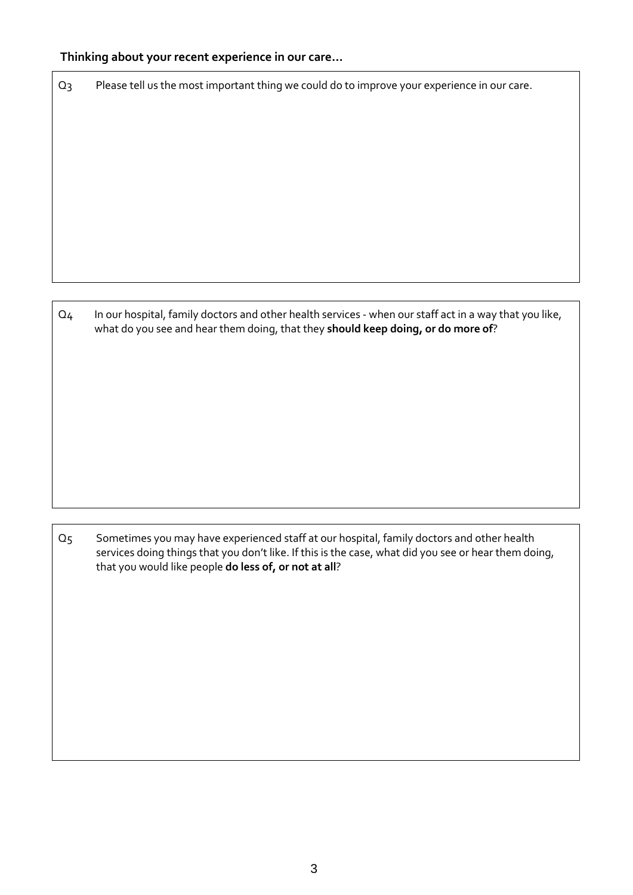#### **Thinking about your recent experience in our care…**

Q3 Please tell us the most important thing we could do to improve your experience in our care.

Q4 In our hospital, family doctors and other health services - when our staff act in a way that you like, what do you see and hear them doing, that they **should keep doing, or do more of**?

Q5 Sometimes you may have experienced staff at our hospital, family doctors and other health services doing things that you don't like. If this is the case, what did you see or hear them doing, that you would like people **do less of, or not at all**?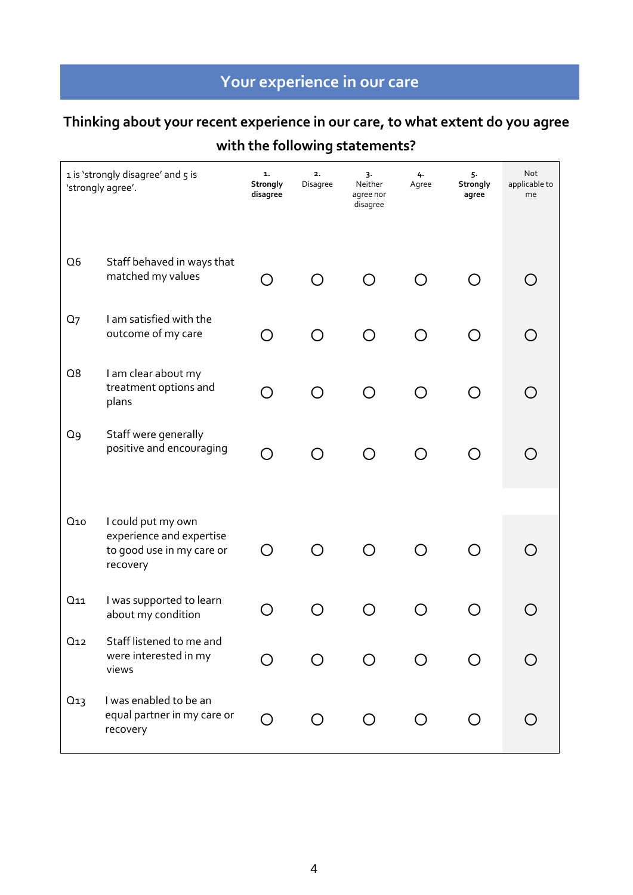# **Your experience in our care**

# **Thinking about your recent experience in our care, to what extent do you agree**

### **with the following statements?**

|                 | 1 is 'strongly disagree' and 5 is<br>'strongly agree'.                                  | 1.<br>Strongly<br>disagree | 2.<br>Disagree | 3.<br>Neither<br>agree nor<br>disagree | 4.<br>Agree | 5.<br>Strongly<br>agree | Not<br>applicable to<br>me |
|-----------------|-----------------------------------------------------------------------------------------|----------------------------|----------------|----------------------------------------|-------------|-------------------------|----------------------------|
| Q <sub>6</sub>  | Staff behaved in ways that<br>matched my values                                         | ◯                          |                |                                        |             | $\bigcirc$              |                            |
| Q <sub>7</sub>  | I am satisfied with the<br>outcome of my care                                           | ∩                          |                |                                        |             |                         |                            |
| Q8              | I am clear about my<br>treatment options and<br>plans                                   | O                          |                | $\bigcap$                              | ∩           | ∩                       |                            |
| Q9              | Staff were generally<br>positive and encouraging                                        | $\bigcirc$                 | Ω              | $\bigcap$                              | ∩           | O                       | ( )                        |
|                 |                                                                                         |                            |                |                                        |             |                         |                            |
| Q <sub>10</sub> | I could put my own<br>experience and expertise<br>to good use in my care or<br>recovery | ∩                          |                |                                        |             |                         |                            |
| $Q_{11}$        | I was supported to learn<br>about my condition                                          |                            |                | ( )                                    |             |                         |                            |
| Q12             | Staff listened to me and<br>were interested in my<br>views                              |                            |                |                                        |             |                         |                            |
| Q13             | I was enabled to be an<br>equal partner in my care or<br>recovery                       | $\bigcirc$                 | $\bigcirc$     | $\bigcirc$                             | O           | O                       |                            |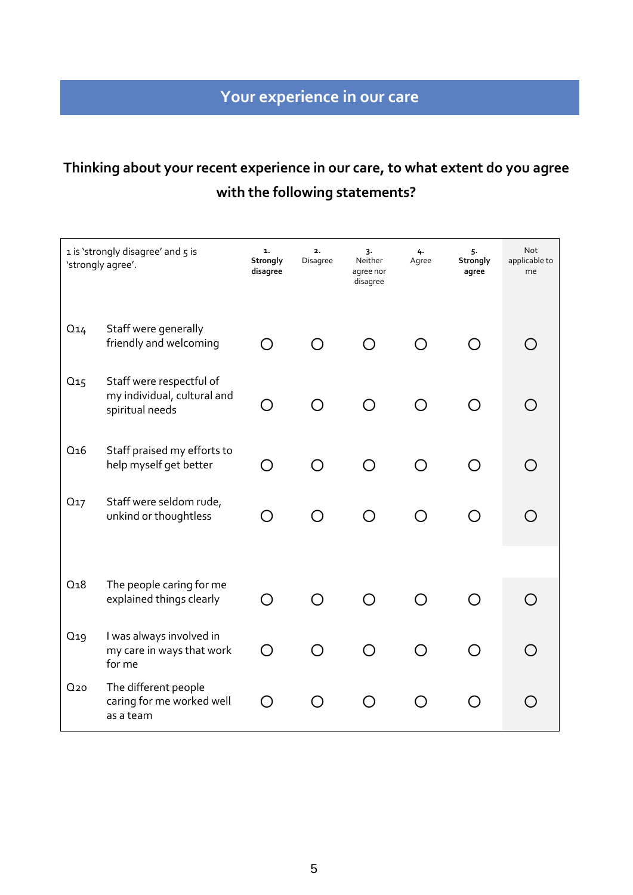# **Thinking about your recent experience in our care, to what extent do you agree with the following statements?**

|                 | 1 is 'strongly disagree' and 5 is<br>'strongly agree'.                     | 1.<br>Strongly<br>disagree | 2.<br>Disagree | 3.<br>Neither<br>agree nor<br>disagree | 4.<br>Agree | 5.<br>Strongly<br>agree | <b>Not</b><br>applicable to<br>me |
|-----------------|----------------------------------------------------------------------------|----------------------------|----------------|----------------------------------------|-------------|-------------------------|-----------------------------------|
| $Q_{14}$        | Staff were generally<br>friendly and welcoming                             | ∩                          |                |                                        |             | ◯                       |                                   |
| Q <sub>15</sub> | Staff were respectful of<br>my individual, cultural and<br>spiritual needs | O                          | $\bigcap$      | ◯                                      | ∩           | ( )                     |                                   |
| Q <sub>16</sub> | Staff praised my efforts to<br>help myself get better                      | ∩                          |                | ∩                                      | ∩           | $\mathcal{L}$           |                                   |
| Q <sub>17</sub> | Staff were seldom rude,<br>unkind or thoughtless                           | ∩                          | $\bigcap$      | ◯                                      | ◯           | ◯                       |                                   |
|                 |                                                                            |                            |                |                                        |             |                         |                                   |
| Q <sub>18</sub> | The people caring for me<br>explained things clearly                       | ∩                          |                |                                        |             |                         | $\bigcap$                         |
| Q <sub>19</sub> | I was always involved in<br>my care in ways that work<br>for me            | $\bigcirc$                 | ∩              | ◯                                      | ∩           | ⌒                       | ∩                                 |
| Q <sub>20</sub> | The different people<br>caring for me worked well<br>as a team             | ∩                          | Ω              | $\bigcap$                              | Ω           | ີ                       |                                   |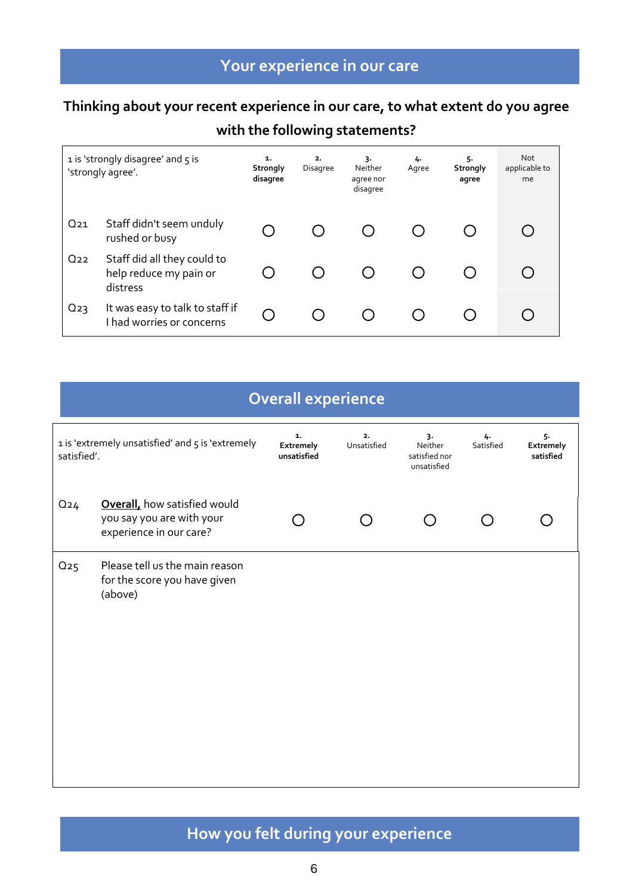# **Your experience in our care**

### **Thinking about your recent experience in our care, to what extent do you agree**

### **with the following statements?**

|          | 1 is 'strongly disagree' and 5 is<br>'strongly agree'.            | 1.<br>Strongly<br>disagree | 2.<br>Disagree | 3.<br>Neither<br>agree nor<br>disagree | 4.<br>Agree | 5.<br><b>Strongly</b><br>agree | <b>Not</b><br>applicable to<br>me |
|----------|-------------------------------------------------------------------|----------------------------|----------------|----------------------------------------|-------------|--------------------------------|-----------------------------------|
| $Q_{21}$ | Staff didn't seem unduly<br>rushed or busy                        |                            |                |                                        |             |                                |                                   |
| $Q_{22}$ | Staff did all they could to<br>help reduce my pain or<br>distress |                            |                |                                        |             |                                |                                   |
| $Q_{23}$ | It was easy to talk to staff if<br>I had worries or concerns      |                            |                |                                        |             |                                |                                   |

| Overall experience |
|--------------------|
|                    |
|                    |

| satisfied'. | 1 is 'extremely unsatisfied' and 5 is 'extremely                                             | 1.<br>Extremely<br>unsatisfied | 2.<br>Unsatisfied | 3.<br>Neither<br>satisfied nor<br>unsatisfied | 4.<br>Satisfied | 5.<br>Extremely<br>satisfied |
|-------------|----------------------------------------------------------------------------------------------|--------------------------------|-------------------|-----------------------------------------------|-----------------|------------------------------|
| $Q_{24}$    | <b>Overall</b> , how satisfied would<br>you say you are with your<br>experience in our care? |                                |                   |                                               |                 |                              |
| $Q_{25}$    | Please tell us the main reason<br>for the score you have given<br>(above)                    |                                |                   |                                               |                 |                              |

# **How you felt during your experience**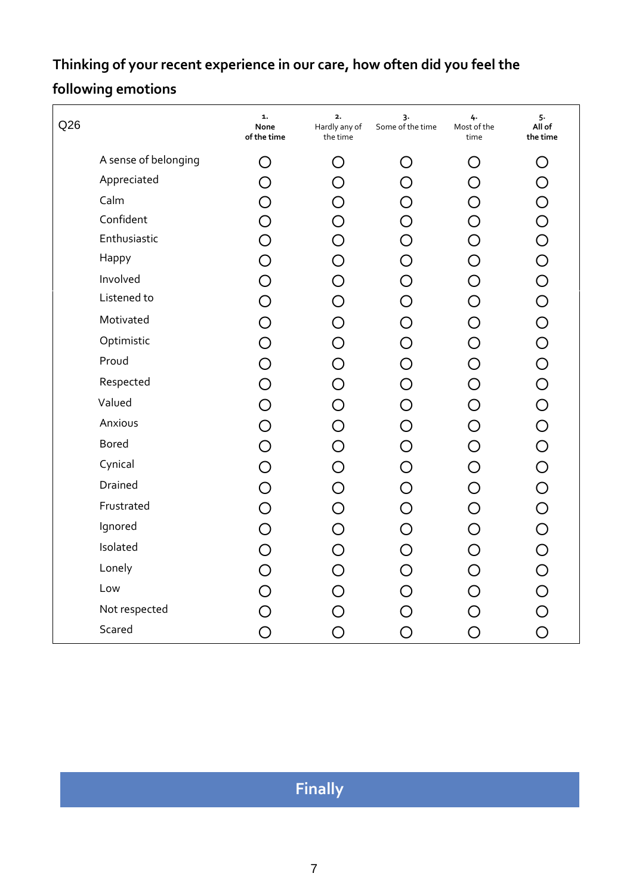# **Thinking of your recent experience in our care, how often did you feel the following emotions**

| Q26 |                      | 1.<br>None<br>of the time | 2.<br>Hardly any of<br>the time | 3.<br>Some of the time | 4.<br>Most of the<br>time | 5.<br>All of<br>the time |
|-----|----------------------|---------------------------|---------------------------------|------------------------|---------------------------|--------------------------|
|     | A sense of belonging | O                         | O                               | ( )                    | O                         | O                        |
|     | Appreciated          | O                         | O                               | O                      | $\bigcirc$                | $\bigcirc$               |
|     | Calm                 | O                         | O                               | O                      | $\bigcirc$                |                          |
|     | Confident            | $\overline{O}$            |                                 | O                      | $\overline{O}$            |                          |
|     | Enthusiastic         | $\bigcirc$                | $\overline{O}$                  | $\bigcirc$             | $\overline{O}$            |                          |
|     | Happy                | $\bigcirc$                | $\bigcirc$                      | $\bigcirc$             | $\bigcirc$                |                          |
|     | Involved             | $\overline{O}$            | $\bigcirc$                      | O                      | $\overline{O}$            |                          |
|     | Listened to          | $\bigcirc$                | O                               | $\bigcirc$             | $\bigcirc$                |                          |
|     | Motivated            | $\bigcirc$                |                                 | O                      | $\bigcirc$                |                          |
|     | Optimistic           | $\bigcirc$                | $\overline{O}$                  | O                      | $\bigcirc$                |                          |
|     | Proud                | $\bigcirc$                | $\overline{O}$                  | O                      | $\bigcirc$                |                          |
|     | Respected            | $\bigcirc$                | $\bigcirc$                      | $\bigcirc$             | $\bigcirc$                |                          |
|     | Valued               | $\bigcirc$                | O                               | $\bigcirc$             | $\bigcirc$                |                          |
|     | Anxious              | $\bigcirc$                | $\bigcirc$                      | O                      | $\bigcirc$                |                          |
|     | <b>Bored</b>         | $\bigcirc$                | O                               | O                      | $\bigcirc$                |                          |
|     | Cynical              | $\overline{O}$            |                                 | O                      | $\bigcirc$                |                          |
|     | Drained              | $\bigcirc$                | $\overline{O}$                  | O                      | $\bigcirc$                |                          |
|     | Frustrated           | $\bigcirc$                | $\bigcirc$                      | $\bigcirc$             | $\bigcirc$                |                          |
|     | Ignored              | $\bigcirc$                | $\bigcirc$                      | $\bigcirc$             | $\bigcirc$                |                          |
|     | Isolated             | $\bigcirc$                | O                               | O                      | $\bigcirc$                |                          |
|     | Lonely               | $\overline{O}$            | O                               | O                      | $\bigcirc$                |                          |
|     | Low                  | $\bigcirc$                |                                 | O                      | $\bigcirc$                |                          |
|     | Not respected        | $\overline{O}$            |                                 |                        | $\overline{O}$            |                          |
|     | Scared               | O                         | O                               | O                      | $\bigcirc$                | $\overline{O}$           |

**Finally**